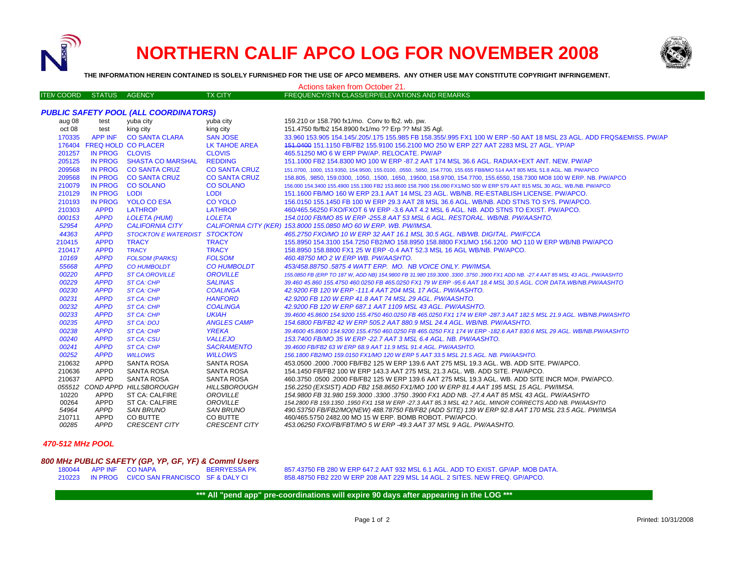

## **NORTHERN CALIF APCO LOG FOR NOVEMBER 2008**



**THE INFORMATION HEREIN CONTAINED IS SOLELY FURNISHED FOR THE USE OF APCO MEMBERS. ANY OTHER USE MAY CONSTITUTE COPYRIGHT INFRINGEMENT.**

| Actions taken from October 21.               |                |                                                 |                                        |                                                                                                                                                                                       |
|----------------------------------------------|----------------|-------------------------------------------------|----------------------------------------|---------------------------------------------------------------------------------------------------------------------------------------------------------------------------------------|
| <b>ITEM COORD</b>                            | STATUS AGENCY  |                                                 | <b>TX CITY</b>                         | FREQUENCY/STN CLASS/ERP/ELEVATIONS AND REMARKS                                                                                                                                        |
|                                              |                |                                                 |                                        |                                                                                                                                                                                       |
| <b>PUBLIC SAFETY POOL (ALL COORDINATORS)</b> |                |                                                 |                                        |                                                                                                                                                                                       |
| aug 08                                       | test           | yuba city                                       | yuba city                              | 159.210 or 158.790 fx1/mo. Conv to fb2. wb. pw.                                                                                                                                       |
| oct 08                                       | test           | king city                                       | king city                              | 151.4750 fb/fb2 154.8900 fx1/mo ?? Erp ?? Msl 35 Agl.                                                                                                                                 |
| 170335                                       | APP INF        | <b>CO SANTA CLARA</b>                           | <b>SAN JOSE</b>                        | 33.960 153.905 154.145/.205/.175 155.985 FB 158.355/.995 FX1 100 W ERP -50 AAT 18 MSL 23 AGL. ADD FRQS&EMISS. PW/AP                                                                   |
|                                              |                | 176404 FREQ HOLD CO PLACER                      | LK TAHOE AREA                          | 151,0400 151,1150 FB/FB2 155,9100 156,2100 MO 250 W ERP 227 AAT 2283 MSL 27 AGL. YP/AP                                                                                                |
| 201257                                       | IN PROG CLOVIS |                                                 | <b>CLOVIS</b>                          | 465.51250 MO 6 W ERP PW/AP, RELOCATE, PW/AP                                                                                                                                           |
| 205125                                       |                | IN PROG SHASTA CO MARSHAL                       | <b>REDDING</b>                         | 151,1000 FB2 154,8300 MO 100 W ERP -87,2 AAT 174 MSL 36.6 AGL, RADIAX+EXT ANT, NEW, PW/AP                                                                                             |
| 209568                                       |                | IN PROG CO SANTA CRUZ                           | <b>CO SANTA CRUZ</b>                   | 151.0700, .1000, 153.9350, 154.9500, 155.0100, .0550, .5650, 154.7700, 155.655 FB8/MO 514 AAT 805 MSL 51.8 AGL. NB. PW/APCO                                                           |
| 209568                                       |                | IN PROG CO SANTA CRUZ                           | <b>CO SANTA CRUZ</b>                   | 158.805, .9850, 159.0300, .1050, .1500, .1650, .19500, 158.9700, 154.7700, 155.6550, 158.7300 MO8 100 W ERP. NB. PW/APCO                                                              |
| 210079                                       |                | IN PROG CO SOLANO                               | <b>CO SOLANO</b>                       | 156.000 154.3400 155.4900 155.1300 FB2 153.8600 158.7900 156.090 FX1/MO 500 W ERP 579 AAT 815 MSL 30 AGL. WB./NB. PW/APCO                                                             |
| 210129                                       | <b>IN PROG</b> | <b>LODI</b>                                     | <b>LODI</b>                            | 151.1600 FB/MO 160 W ERP 23.1 AAT 14 MSL 23 AGL, WB/NB, RE-ESTABLISH LICENSE, PW/APCO,                                                                                                |
| 210193                                       | <b>IN PROG</b> | <b>YOLO CO ESA</b>                              | <b>CO YOLO</b>                         | 156,0150 155,1450 FB 100 W ERP 29.3 AAT 28 MSL 36.6 AGL, WB/NB, ADD STNS TO SYS, PW/APCO,                                                                                             |
| 210303                                       | <b>APPD</b>    | <b>LATHROP</b>                                  | <b>LATHROP</b>                         | 460/465.56250 FXO/FXOT 6 W ERP -3.6 AAT 4.2 MSL 6 AGL. NB. ADD STNS TO EXIST. PW/APCO.                                                                                                |
| 000153                                       | <b>APPD</b>    | <b>LOLETA (HUM)</b>                             | <b>LOLETA</b>                          | 154.0100 FB/MO 85 W ERP -255.8 AAT 53 MSL 6 AGL. RESTORAL. WB/NB. PW/AASHTO.                                                                                                          |
| 52954                                        | <b>APPD</b>    | <b>CALIFORNIA CITY</b>                          |                                        | CALIFORNIA CITY (KER) 153.8000 155.0850 MO 60 W ERP. WB. PW/IMSA.                                                                                                                     |
| 44363                                        | <b>APPD</b>    | <b>STOCKTON E WATERDIST STOCKTON</b>            |                                        | 465.2750 FXO/MO 10 W ERP 32 AAT 16.1 MSL 30.5 AGL. NB/WB. DIGITAL. PW/FCCA                                                                                                            |
| 210415                                       | <b>APPD</b>    | <b>TRACY</b>                                    | <b>TRACY</b>                           | 155.8950 154.3100 154.7250 FB2/MO 158.8950 158.8800 FX1/MO 156.1200 MO 110 W ERP WB/NB PW/APCO                                                                                        |
| 210417                                       | <b>APPD</b>    | <b>TRACY</b>                                    | <b>TRACY</b>                           | 158.8950 158.8800 FX1 25 W ERP -0.4 AAT 52.3 MSL 16 AGL WB/NB. PW/APCO.                                                                                                               |
| 10169                                        | <b>APPD</b>    | <b>FOLSOM (PARKS)</b>                           | <b>FOLSOM</b>                          | 460.48750 MO 2 W ERP WB. PW/AASHTO.                                                                                                                                                   |
| 55668                                        | <b>APPD</b>    | <b>CO HUMBOLDT</b>                              | <b>CO HUMBOLDT</b>                     | 453/458.88750 .5875 4 WATT ERP. MO. NB VOICE ONLY. PW/IMSA.                                                                                                                           |
| 00220                                        | <b>APPD</b>    | <b>ST CA:OROVILLE</b>                           | <b>OROVILLE</b>                        | 155.0850 FB (ERP TO 187 W, ADD NB) 154.9800 FB 31.980 159.3000 .3300 .3750 .3900 FX1 ADD NB. -27.4 AAT 85 MSL 43 AGL. PW/AASHTO                                                       |
| 00229                                        | <b>APPD</b>    | ST CA: CHP                                      | <b>SALINAS</b>                         | 39.460 45.860 155.4750 460.0250 FB 465.0250 FX1 79 W ERP -95.6 AAT 18.4 MSL 30.5 AGL. COR DATA.WB/NB.PW/AASHTO                                                                        |
| 00230                                        | <b>APPD</b>    | ST CA: CHP                                      | <b>COALINGA</b>                        | 42.9200 FB 120 W ERP -111.4 AAT 204 MSL 17 AGL. PW/AASHTO.                                                                                                                            |
| 00231                                        | <b>APPD</b>    | <b>ST CA: CHP</b>                               | <b>HANFORD</b>                         | 42.9200 FB 120 W ERP 41.8 AAT 74 MSL 29 AGL. PW/AASHTO.                                                                                                                               |
| 00232                                        | <b>APPD</b>    | ST CA: CHP                                      | <b>COALINGA</b>                        | 42.9200 FB 120 W ERP 687.1 AAT 1109 MSL 43 AGL. PW/AASHTO.                                                                                                                            |
| 00233                                        | <b>APPD</b>    | <b>ST CA: CHP</b>                               | <b>UKIAH</b>                           | 39.4600 45.8600 154.9200 155.4750 460.0250 FB 465.0250 FX1 174 W ERP -287.3 AAT 182.5 MSL 21.9 AGL. WB/NB.PW/ASHTO                                                                    |
| 00235                                        | <b>APPD</b>    | ST CA: DOJ                                      | <b>ANGLES CAMP</b>                     | 154.6800 FB/FB2 42 W ERP 505.2 AAT 880.9 MSL 24.4 AGL. WB/NB. PW/AASHTO.                                                                                                              |
| 00238                                        | <b>APPD</b>    | ST CA: CHP                                      | <b>YREKA</b>                           | 39.4600 45.8600 154.9200 155.4750 460.0250 FB 465.0250 FX1 174 W ERP -182.6 AAT 830.6 MSL 29 AGL. WB/NB.PW/AASHTO                                                                     |
| 00240                                        | <b>APPD</b>    | <b>ST CA: CSU</b>                               | <b>VALLEJO</b>                         | 153.7400 FB/MO 35 W ERP -22.7 AAT 3 MSL 6.4 AGL. NB. PW/AASHTO.                                                                                                                       |
| 00241                                        | <b>APPD</b>    | ST CA: CHP                                      | <b>SACRAMENTO</b>                      | 39.4600 FB/FB2 63 W ERP 68.9 AAT 11.9 MSL 91.4 AGL. PW/AASHTO.                                                                                                                        |
| 00252                                        | <b>APPD</b>    | <b>WILLOWS</b>                                  | <b>WILLOWS</b>                         | 156.1800 FB2/MO 159.0150 FX1/MO 120 W ERP 5 AAT 33.5 MSL 21.5 AGL. NB. PW/AASHTO.                                                                                                     |
| 210632                                       | APPD           | SANTA ROSA                                      | <b>SANTA ROSA</b>                      | .453,0500 .2000 .7000 FB/FB2 125 W ERP 139.6 AAT 275 MSL 19.3 AGL. WB. ADD SITE. PW/APCO                                                                                              |
| 210636                                       | APPD           | SANTA ROSA                                      | <b>SANTA ROSA</b>                      | 154.1450 FB/FB2 100 W ERP 143.3 AAT 275 MSL 21.3 AGL, WB, ADD SITE, PW/APCO,                                                                                                          |
| 210637                                       | APPD           | SANTA ROSA                                      | <b>SANTA ROSA</b>                      | 460.3750 .0500 .2000 FB/FB2 125 W ERP 139.6 AAT 275 MSL 19.3 AGL. WB. ADD SITE INCR MO#. PW/APCO.                                                                                     |
| 10220                                        | <b>APPD</b>    | 055512 COND APPD HILLSBOROUGH<br>ST CA: CALFIRE | <b>HILLSBOROUGH</b><br><b>OROVILLE</b> | 156.2250 (EXSIST) ADD FB2 158.8650 FX1/MO 100 W ERP 81.4 AAT 195 MSL 15 AGL. PW/IMSA.<br>154.9800 FB 31.980 159.3000 .3300 .3750 .3900 FX1 ADD NB. -27.4 AAT 85 MSL 43 AGL. PW/AASHTO |
| 00264                                        | APPD           | ST CA: CALFIRE                                  | OROVILLE                               | 154.2800 FB 159.1350 .1950 FX1 158 W ERP -27.3 AAT 85.3 MSL 42.7 AGL. MINOR CORRECTS ADD NB. PW/AASHTO                                                                                |
| 54964                                        | APPD           | <b>SAN BRUNO</b>                                | <b>SAN BRUNO</b>                       | 490.53750 FB/FB2/MO(NEW) 488.78750 FB/FB2 (ADD SITE) 139 W ERP 92.8 AAT 170 MSL 23.5 AGL. PW/IMSA                                                                                     |
| 210711                                       | APPD           | CO BUTTE                                        | CO BUTTE                               | 460/465.5750 2482.00 MO 15 W ERP. BOMB ROBOT. PW/APCO.                                                                                                                                |
| 00285                                        | APPD           | <b>CRESCENT CITY</b>                            | <b>CRESCENT CITY</b>                   | 453.06250 FXO/FB/FBT/MO 5 W ERP -49.3 AAT 37 MSL 9 AGL. PW/AASHTO.                                                                                                                    |
|                                              |                |                                                 |                                        |                                                                                                                                                                                       |

## *470-512 MHz POOL*

## *800 MHz PUBLIC SAFETY (GP, YP, GF, YF) & Comml Users*

180044 APP INF CO NAPA BERRYESSA PK 857.43750 FB 280 W ERP 647.2 AAT 932 MSL 6.1 AGL. ADD TO EXIST. GP/AP. MOB DATA. 210223 IN PROG CI/CO SAN FRANCISCO SF & DALY CI 858.48750 FB2 220 W ERP 208 AAT 229 MSL 14 AGL. 2 SITES. NEW FREQ. GP/APCO.